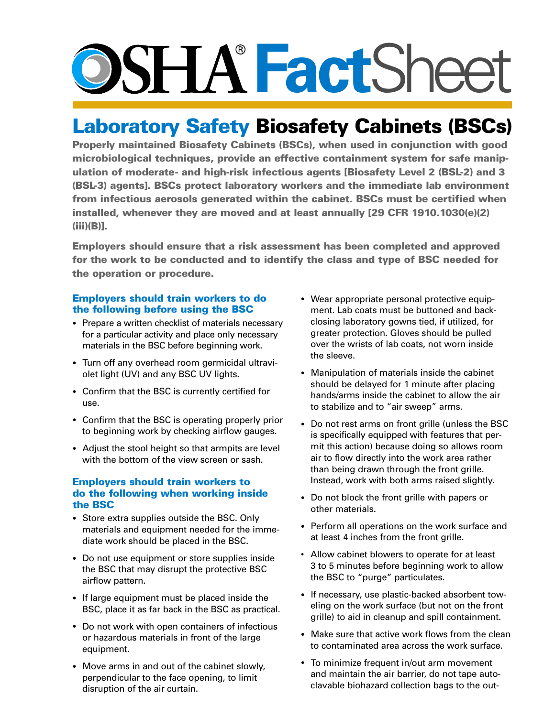# O>SITX **Fact**Sheet

## Laboratory Safety Biosafety Cabinets (BSCs)

 Properly maintained Biosafety Cabinets (BSCs), when used in conjunction with good microbiological techniques, provide an effective containment system for safe manipulation of moderate- and high-risk infectious agents [Biosafety Level 2 (BSL-2) and 3 (BSL-3) agents]. BSCs protect laboratory workers and the immediate lab environment from infectious aerosols generated within the cabinet. BSCs must be certified when installed, whenever they are moved and at least annually [29 CFR 1910.1030(e)(2) (iii)(B)].

 for the work to be conducted and to identify the class and type of BSC needed for Employers should ensure that a risk assessment has been completed and approved the operation or procedure.

### Employers should train workers to do the following before using the BSC

- Prepare a written checklist of materials necessary for a particular activity and place only necessary materials in the BSC before beginning work.
- • Turn off any overhead room germicidal ultraviolet light (UV) and any BSC UV lights.
- Confirm that the BSC is currently certified for use.
- Confirm that the BSC is operating properly prior to beginning work by checking airflow gauges.
- Adjust the stool height so that armpits are level with the bottom of the view screen or sash.

#### Employers should train workers to do the following when working inside the BSC

- Store extra supplies outside the BSC. Only materials and equipment needed for the immediate work should be placed in the BSC.
- Do not use equipment or store supplies inside the BSC that may disrupt the protective BSC airflow pattern.
- If large equipment must be placed inside the BSC, place it as far back in the BSC as practical.
- Do not work with open containers of infectious or hazardous materials in front of the large equipment.
- Move arms in and out of the cabinet slowly, perpendicular to the face opening, to limit disruption of the air curtain.
- • Wear appropriate personal protective equipment. Lab coats must be buttoned and backclosing laboratory gowns tied, if utilized, for greater protection. Gloves should be pulled over the wrists of lab coats, not worn inside the sleeve.
- Manipulation of materials inside the cabinet should be delayed for 1 minute after placing hands/arms inside the cabinet to allow the air to stabilize and to "air sweep" arms.
- Do not rest arms on front grille (unless the BSC is specifically equipped with features that permit this action) because doing so allows room air to flow directly into the work area rather than being drawn through the front grille. Instead, work with both arms raised slightly.
- Do not block the front grille with papers or other materials.
- Perform all operations on the work surface and at least 4 inches from the front grille.
- Allow cabinet blowers to operate for at least 3 to 5 minutes before beginning work to allow the BSC to "purge" particulates.
- If necessary, use plastic-backed absorbent toweling on the work surface (but not on the front grille) to aid in cleanup and spill containment.
- Make sure that active work flows from the clean to contaminated area across the work surface.
- • To minimize frequent in/out arm movement and maintain the air barrier, do not tape autoclavable biohazard collection bags to the out-